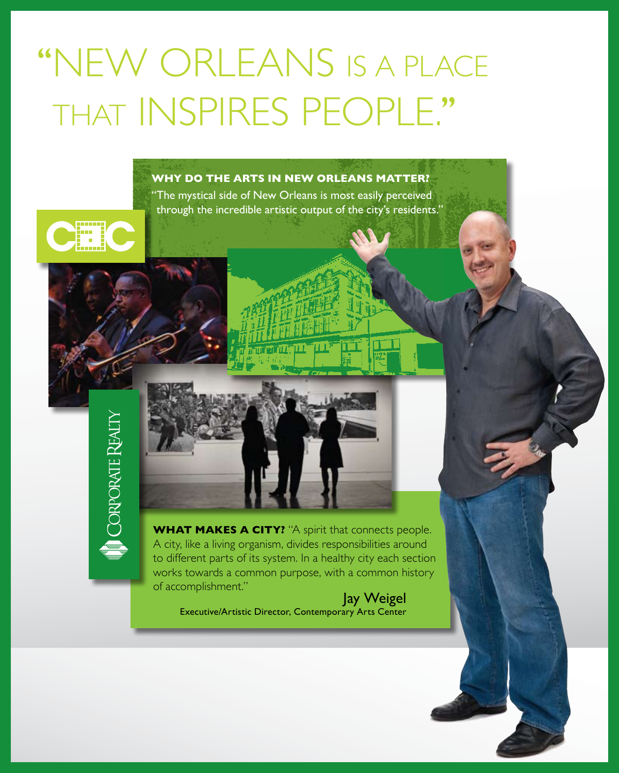# "NEW ORLEANS IS A PLACE that inspires people.''

### **Why do the arts in New Orleans matter?**

"The mystical side of New Orleans is most easily perceived through the incredible artistic output of the city's residents."



**WHAT MAKES A CITY?** "A spirit that connects people. A city, like a living organism, divides responsibilities around to different parts of its system. In a healthy city each section works towards a common purpose, with a common history of accomplishment."

Jay Weigel Executive/Artistic Director, Contemporary Arts Center